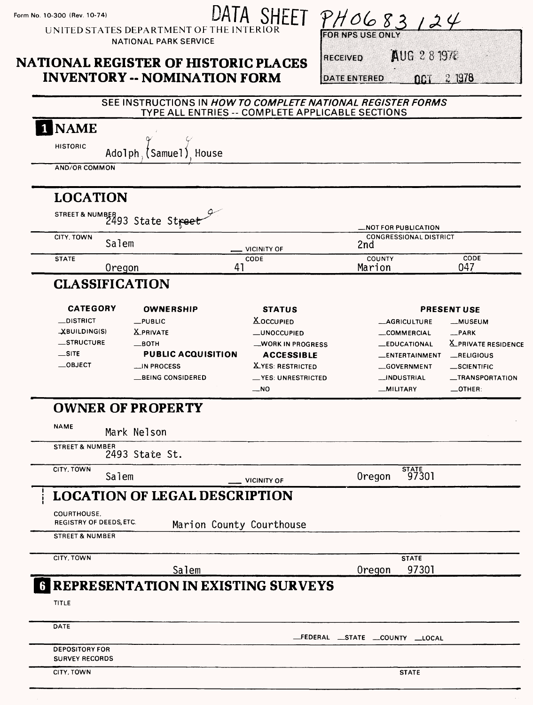Form No. 10-300 (Rev. 10-74)

# DATA SHEET

UNITED STATES DEPARTMENT OF TH **NATIONAL PARK SERVICE** 

## **NATIONAL REGISTER OF HISTORIC PLACES**

**INVENTORY -- NOMINATION FORM** 

 $PH0683124$ **FOR NPS II** 

**RECEIVED** 

AUG 281978

 $n_{\text{D}}$  2 1978 **DATE ENTERED** 

|                                                | SEE INSTRUCTIONS IN HOW TO COMPLETE NATIONAL REGISTER FORMS<br>TYPE ALL ENTRIES -- COMPLETE APPLICABLE SECTIONS |                         |                                                   |                     |
|------------------------------------------------|-----------------------------------------------------------------------------------------------------------------|-------------------------|---------------------------------------------------|---------------------|
| 1 NAME                                         |                                                                                                                 |                         |                                                   |                     |
| <b>HISTORIC</b>                                | Adolph (Samuel) House                                                                                           |                         |                                                   |                     |
| <b>AND/OR COMMON</b>                           |                                                                                                                 |                         |                                                   |                     |
| <b>LOCATION</b>                                |                                                                                                                 |                         |                                                   |                     |
|                                                | STREET& NUMBER<br>2493 State Street                                                                             |                         | _NOT FOR PUBLICATION                              |                     |
| CITY, TOWN<br>Salem                            |                                                                                                                 | VICINITY OF             | <b>CONGRESSIONAL DISTRICT</b><br>2nd              |                     |
| <b>STATE</b><br><b>Oregon</b>                  | 41                                                                                                              | CODE                    | COUNTY<br>Marion                                  | CODE<br>047         |
| <b>CLASSIFICATION</b>                          |                                                                                                                 |                         |                                                   |                     |
| <b>CATEGORY</b>                                | <b>OWNERSHIP</b>                                                                                                | <b>STATUS</b>           |                                                   | <b>PRESENT USE</b>  |
| $\equiv$ DISTRICT                              | $_{\text{L}}$ PUBLIC                                                                                            | <b>X</b> OCCUPIED       | _AGRICULTURE                                      | __MUSEUM            |
| XBUILDING(S)                                   | <b>X</b> PRIVATE                                                                                                | -UNOCCUPIED             | _COMMERCIAL                                       | $-$ PARK            |
| _STRUCTURE                                     | $\equiv$ BOTH                                                                                                   | _WORK IN PROGRESS       | _EDUCATIONAL                                      | X_PRIVATE RESIDENCE |
| $\equiv$ SITE                                  | <b>PUBLIC ACQUISITION</b>                                                                                       | <b>ACCESSIBLE</b>       | _ENTERTAINMENT                                    | RELIGIOUS           |
| $\equiv$ OBJECT                                | __IN PROCESS                                                                                                    | <b>XYES: RESTRICTED</b> | GOVERNMENT                                        | _SCIENTIFIC         |
|                                                | __BEING CONSIDERED                                                                                              | _YES: UNRESTRICTED      | __INDUSTRIAL                                      | _TRANSPORTATION     |
|                                                |                                                                                                                 | $-NO$                   | _MILITARY                                         | $\_$ OTHER:         |
|                                                | <b>OWNER OF PROPERTY</b>                                                                                        |                         |                                                   |                     |
| <b>NAME</b>                                    | Mark Nelson                                                                                                     |                         |                                                   |                     |
| <b>STREET &amp; NUMBER</b>                     | 2493 State St.                                                                                                  |                         |                                                   |                     |
| CITY, TOWN<br>Salem                            |                                                                                                                 | <b>VICINITY OF</b>      | $\overline{\frac{\text{STATE}}{97301}}$<br>Oregon |                     |
|                                                | <b>LOCATION OF LEGAL DESCRIPTION</b>                                                                            |                         |                                                   |                     |
| COURTHOUSE<br>REGISTRY OF DEEDS, ETC.          | Marion County Courthouse                                                                                        |                         |                                                   |                     |
| <b>STREET &amp; NUMBER</b>                     |                                                                                                                 |                         |                                                   |                     |
| CITY, TOWN                                     |                                                                                                                 |                         | <b>STATE</b>                                      |                     |
|                                                | Salem<br><b>G REPRESENTATION IN EXISTING SURVEYS</b>                                                            |                         | 97301<br>Oregon                                   |                     |
| TITLE                                          |                                                                                                                 |                         |                                                   |                     |
|                                                |                                                                                                                 |                         |                                                   |                     |
| DATE                                           |                                                                                                                 |                         | _FEDERAL __STATE __COUNTY __LOCAL                 |                     |
| <b>DEPOSITORY FOR</b><br><b>SURVEY RECORDS</b> |                                                                                                                 |                         |                                                   |                     |
| CITY, TOWN                                     |                                                                                                                 |                         | <b>STATE</b>                                      |                     |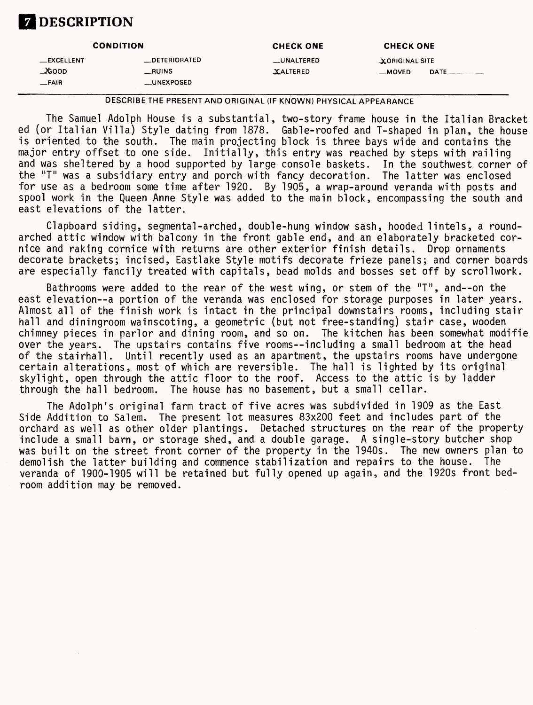### **Z** DESCRIPTION

|                   | <b>CONDITION</b>     | <b>CHECK ONE</b>  | <b>CHECK ONE</b>                          |
|-------------------|----------------------|-------------------|-------------------------------------------|
| <b>LEXCELLENT</b> | <b>LOETERIORATED</b> | <b>LUNALTERED</b> | <b>XORIGINAL SITE</b>                     |
| $\Delta$ GOOD     | $\_RUINS$            | XALTERED          | $\equiv$ MOVED<br><b>DATE</b> ___________ |
| _FAIR             | __UNEXPOSED          |                   |                                           |

**DESCRIBE THE PRESENT AND ORIGINAL (IF KNOWN) PHYSICAL APPEARANCE**

The Samuel Adolph House is a substantial, two-story frame house in the Italian Bracket ed (or Italian Villa) Style dating from 1878. Gable-roofed and T-shaped in plan, the house is oriented to the south. The main projecting block is three bays wide and contains the major entry offset to one side. Initially, this entry was reached by steps with railing and was sheltered by a hood supported by large console baskets. In the southwest corner of<br>the "T" was a subsidiary entry and porch with fancy decoration. The latter was enclosed the "T" was a subsidiary entry and porch with fancy decoration. for use as a bedroom some time after 1920. By 1905, a wrap-around veranda with posts and spool work in the Queen Anne Style was added to the main block, encompassing the south and east elevations of the latter.

Clapboard siding, segmental-arched, double-hung window sash, hooded lintels, a roundarched attic window with balcony in the front gable end, and an elaborately bracketed cornice and raking cornice with returns are other exterior finish details. Drop ornaments decorate brackets; incised, Eastlake Style motifs decorate frieze panels; and corner boards are especially fancily treated with capitals, bead molds and bosses set off by scrollwork.

Bathrooms were added to the rear of the west wing, or stem of the "T", and--on the east elevation--a portion of the veranda was enclosed for storage purposes in later years. Almost all of the finish work is intact in the principal downstairs rooms, including stair hall and diningroom wainscoting, a geometric (but not free-standing) stair case, wooden chimney pieces in parlor and dining room, and so on. The kitchen has been somewhat modifie over the years. The upstairs contains five rooms—including a small bedroom at the head of the stairhall. Until recently used as an apartment, the upstairs rooms have undergone certain alterations, most of which are reversible. The hall is lighted by its original skylight, open through the attic floor to the roof. Access to the attic is by ladder through the hall bedroom. The house has no basement, but a small cellar.

The Adolph's original farm tract of five acres was subdivided in 1909 as the East Side Addition to Salem. The present lot measures 83x200 feet and includes part of the orchard as well as other older plantings. Detached structures on the rear of the property include a small barn, or storage shed, and a double garage. A single-story butcher shop was built on the street front corner of the property in the 1940s. The new owners plan to demolish the latter building and commence stabilization and repairs to the house. The demolish the latter building and commence stabilization and repairs to the house. veranda of 1900-1905 will be retained but fully opened up again, and the 1920s front bedroom addition may be removed.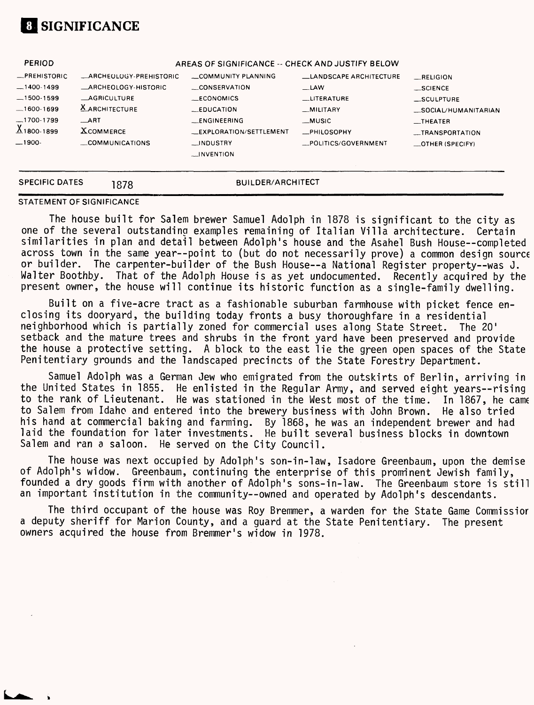

| <b>SPECIFIC DATES</b>                     | 1878                                                    | BUILDER/ARCHITECT                                                                |                                               |                                                                          |
|-------------------------------------------|---------------------------------------------------------|----------------------------------------------------------------------------------|-----------------------------------------------|--------------------------------------------------------------------------|
| $-1700-1799$<br>$X_{1800-1899}$<br>_1900- | $\rightarrow$ ART<br><b>XCOMMERCE</b><br>COMMUNICATIONS | _ENGINEERING<br>__EXPLORATION/SETTLEMENT<br>$\Box$ INDUSTRY<br><b>LINVENTION</b> | _MUSIC<br>_PHILOSOPHY<br>_POLITICS/GOVERNMENT | $\overline{\phantom{a}}$ THEATER<br>__TRANSPORTATION<br>_OTHER (SPECIFY) |
| — 1600-1699                               | <b>X</b> ARCHITECTURE                                   | $EDUCA$ TION                                                                     | _MILITARY                                     | _SOCIAL/HUMANITARIAN                                                     |
| $-1400-1499$<br>$-1500-1599$              | _ARCHEOLOGY-HISTORIC<br><b>AGRICULTURE</b>              | CONSERVATION<br>$-CONOMICS$                                                      | $-LAW$<br>LITERATURE                          | __SCIENCE<br>SCULPTURE                                                   |
| <b>PERIOD</b><br>$R$ PREHISTORIC          | <b>ARCHEOLOGY-PREHISTORIC</b>                           | AREAS OF SIGNIFICANCE -- CHECK AND JUSTIFY BELOW<br>COMMUNITY PLANNING           | <b>LANDSCAPE ARCHITECTURE</b>                 | RELIGION                                                                 |

#### STATEMENT OF SIGNIFICANCE

The house built for Salem brewer Samuel Adolph in 1878 is significant to the city as one of the several outstanding examples remaining of Italian Villa architecture. Certain similarities in plan and detail between Adolph's house and the Asahel Bush House—completed across town in the same year--point to (but do not necessarily prove) a common design source or builder. The carpenter-builder of the Bush House—a National Register property—was J. Walter Boothby. That of the Adolph House is as yet undocumented. Recently acquired by the present owner, the house will continue its historic function as a single-family dwelling.

Built on a five-acre tract as a fashionable suburban farmhouse with picket fence enclosing its dooryard, the building today fronts a busy thoroughfare in a residential neighborhood which is partially zoned for commercial uses along State Street. The 20' setback and the mature trees and shrubs in the front yard have been preserved and provide the house a protective setting. A block to the east lie the green open spaces of the State Penitentiary grounds and the landscaped precincts of the State Forestry Department.

Samuel Adolph was a German Jew who emigrated from the outskirts of Berlin, arriving in the United States in 1855. He enlisted in the Regular Army, and served eight years—rising to the rank of Lieutenant. He was stationed in the West most of the time. In 1867, he came to Salem from Idaho and entered into the brewery business with John Brown. He also tried his hand at commercial baking and farming. By 1868, he was an independent brewer and had laid the foundation for later investments. He built several business blocks in downtown Salem and ran a saloon. He served on the City Council.

The house was next occupied by Adolph's son-in-law, Isadore Greenbaum, upon the demise of Adolph's widow. Greenbaum, continuing the enterprise of this prominent Jewish family, founded a dry goods firm with another of Adolph's sons-in-law. The Greenbaum store is still an important institution in the community—owned and operated by Adolph's descendants.

The third occupant of the house was Roy Bremmer, a warden for the State Game Commissior a deputy sheriff for Marion County, and a guard at the State Penitentiary. The present owners acquired the house from Bremmer's widow in 1978.